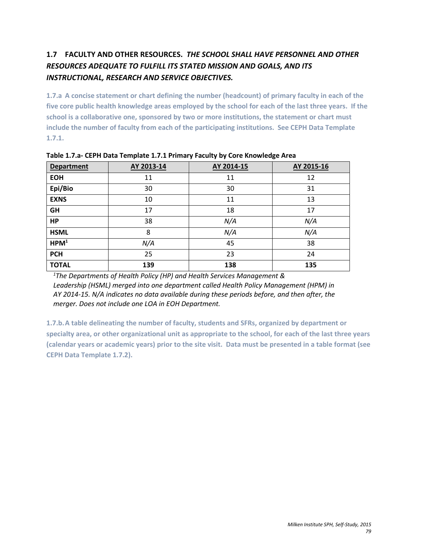# **1.7 FACULTY AND OTHER RESOURCES.** *THE SCHOOL SHALL HAVE PERSONNEL AND OTHER RESOURCES ADEQUATE TO FULFILL ITS STATED MISSION AND GOALS, AND ITS INSTRUCTIONAL, RESEARCH AND SERVICE OBJECTIVES.*

**1.7.a A concise statement or chart defining the number (headcount) of primary faculty in each of the five core public health knowledge areas employed by the school for each of the last three years. If the school is a collaborative one, sponsored by two or more institutions, the statement or chart must include the number of faculty from each of the participating institutions. See CEPH Data Template 1.7.1.**

| <b>Department</b> | AY 2013-14 | AY 2014-15 | AY 2015-16 |
|-------------------|------------|------------|------------|
| <b>EOH</b>        | 11         | 11         | 12         |
| Epi/Bio           | 30         | 30         | 31         |
| <b>EXNS</b>       | 10         | 11         | 13         |
| <b>GH</b>         | 17         | 18         | 17         |
| <b>HP</b>         | 38         | N/A        | N/A        |
| <b>HSML</b>       | 8          | N/A        | N/A        |
| HPM <sup>1</sup>  | N/A        | 45         | 38         |
| <b>PCH</b>        | 25         | 23         | 24         |
| <b>TOTAL</b>      | 139        | 138        | 135        |

**Table 1.7.a- CEPH Data Template 1.7.1 Primary Faculty by Core Knowledge Area**

*1 The Departments of Health Policy (HP) and Health Services Management &* Leadership (HSML) merged into one department called Health Policy Management (HPM) in *AY 2014-15. N/A indicates no data available during these periods before, and then after, the merger. Does not include one LOA in EOH Department.*

**1.7.b.A table delineating the number of faculty, students and SFRs, organized by department or specialty area, or other organizational unit as appropriate to the school, for each of the last three years (calendar years or academic years) prior to the site visit. Data must be presented in a table format (see CEPH Data Template 1.7.2).**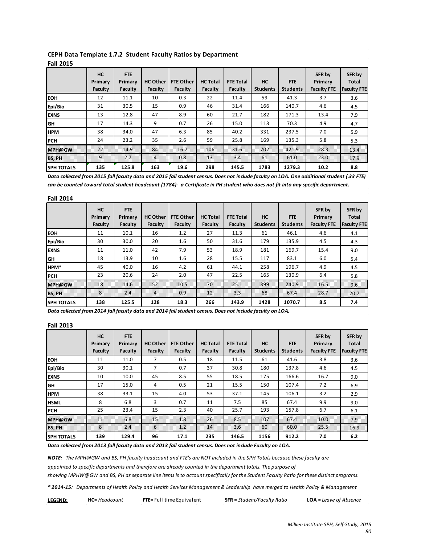|                   | <b>HC</b><br>Primary<br>Faculty | FTE<br>Primary<br>Faculty | <b>HC Other</b><br>Faculty | <b>FTE Other</b><br>Faculty | <b>HC Total</b><br>Faculty | <b>FTE Total</b><br>Faculty | <b>HC</b><br><b>Students</b> | <b>FTE</b><br><b>Students</b> | SFR by<br>Primary<br><b>Faculty FTE</b> | SFR by<br><b>Total</b><br><b>Faculty FTE</b> |
|-------------------|---------------------------------|---------------------------|----------------------------|-----------------------------|----------------------------|-----------------------------|------------------------------|-------------------------------|-----------------------------------------|----------------------------------------------|
| <b>IEOH</b>       | 12                              | 11.1                      | 10                         | 0.3                         | 22                         | 11.4                        | 59                           | 41.3                          | 3.7                                     | 3.6                                          |
| Epi/Bio           | 31                              | 30.5                      | 15                         | 0.9                         | 46                         | 31.4                        | 166                          | 140.7                         | 4.6                                     | 4.5                                          |
| <b>EXNS</b>       | 13                              | 12.8                      | 47                         | 8.9                         | 60                         | 21.7                        | 182                          | 171.3                         | 13.4                                    | 7.9                                          |
| <b>GH</b>         | 17                              | 14.3                      | 9                          | 0.7                         | 26                         | 15.0                        | 113                          | 70.3                          | 4.9                                     | 4.7                                          |
| <b>HPM</b>        | 38                              | 34.0                      | 47                         | 6.3                         | 85                         | 40.2                        | 331                          | 237.5                         | 7.0                                     | 5.9                                          |
| <b>IPCH</b>       | 24                              | 23.2                      | 35                         | 2.6                         | 59                         | 25.8                        | 169                          | 135.3                         | 5.8                                     | 5.3                                          |
| MPH@GW            | 22                              | 14.9                      | 84                         | 16.7                        | 106                        | 31.6                        | 702                          | 421.9                         | 28.3                                    | 13.4                                         |
| <b>BS. PH</b>     | 9                               | 2.7                       | 4                          | 0.8                         | 13                         | 3.4                         | 61                           | 61.0                          | 23.0                                    | 17.9                                         |
| <b>SPH TOTALS</b> | 135                             | 125.8                     | 163                        | 19.6                        | 298                        | 145.5                       | 1783                         | 1279.3                        | 10.2                                    | 8.8                                          |

#### **CEPH Data Template 1.7.2 Student Faculty Ratios by Department Fall 2015**

*Data collected from 2015 fall faculty data and 2015 fall student census. Does not include faculty on LOA. One additional student (.33 FTE) can be counted toward total student headcount (1784)- a Certificate in PH student who does not fit into any specific department.*

| <b>Fall 2014</b>  |                      |                |                 |                  |                 |                  |                 |                 |                    |                        |
|-------------------|----------------------|----------------|-----------------|------------------|-----------------|------------------|-----------------|-----------------|--------------------|------------------------|
|                   | <b>HC</b><br>Primary | FTE<br>Primary | <b>HC Other</b> | <b>FTE Other</b> | <b>HC Total</b> | <b>FTE Total</b> | HC              | <b>FTE</b>      | SFR by<br>Primary  | SFR by<br><b>Total</b> |
|                   | Faculty              | Faculty        | Faculty         | Faculty          | Faculty         | Faculty          | <b>Students</b> | <b>Students</b> | <b>Faculty FTE</b> | <b>Faculty FTE</b>     |
| <b>EOH</b>        | 11                   | 10.1           | 16              | 1.2              | 27              | 11.3             | 61              | 46.1            | 4.6                | 4.1                    |
| Epi/Bio           | 30                   | 30.0           | 20              | 1.6              | 50              | 31.6             | 179             | 135.9           | 4.5                | 4.3                    |
| <b>EXNS</b>       | 11                   | 11.0           | 42              | 7.9              | 53              | 18.9             | 181             | 169.7           | 15.4               | 9.0                    |
| GH                | 18                   | 13.9           | 10              | 1.6              | 28              | 15.5             | 117             | 83.1            | 6.0                | 5.4                    |
| HPM*              | 45                   | 40.0           | 16              | 4.2              | 61              | 44.1             | 258             | 196.7           | 4.9                | 4.5                    |
| lPCH.             | 23                   | 20.6           | 24              | 2.0              | 47              | 22.5             | 165             | 130.9           | 6.4                | 5.8                    |
| MPH@GW            | 18                   | 14.6           | 52              | 10.5             | 70              | 25.1             | 399             | 240.9           | 16.5               | 9.6                    |
| <b>BS, PH</b>     | 8                    | 2.4            | $\overline{4}$  | 0.9              | 12              | 3.3              | 68              | 67.4            | 28.7               | 20.7                   |
| <b>SPH TOTALS</b> | 138                  | 125.5          | 128             | 18.3             | 266             | 143.9            | 1428            | 1070.7          | 8.5                | 7.4                    |

*Data collected from 2014 fall faculty data and 2014 fall student census. Does not include faculty on LOA.*

#### **Fall 2013**

|                   | <b>HC</b><br>Primary<br>Faculty | FTE<br>Primary<br>Faculty | <b>HC Other</b><br>Faculty | <b>FTE Other</b><br>Faculty | <b>HC Total</b><br>Faculty | <b>FTE Total</b><br>Faculty | <b>HC</b><br><b>Students</b> | <b>FTE</b><br><b>Students</b> | SFR by<br>Primary<br><b>Faculty FTE</b> | SFR by<br><b>Total</b><br><b>Faculty FTE</b> |
|-------------------|---------------------------------|---------------------------|----------------------------|-----------------------------|----------------------------|-----------------------------|------------------------------|-------------------------------|-----------------------------------------|----------------------------------------------|
| Ієон              | 11                              | 11.0                      | 7                          | 0.5                         | 18                         | 11.5                        | 61                           | 41.6                          | 3.8                                     | 3.6                                          |
| Epi/Bio           | 30                              | 30.1                      | 7                          | 0.7                         | 37                         | 30.8                        | 180                          | 137.8                         | 4.6                                     | 4.5                                          |
| <b>IEXNS</b>      | 10                              | 10.0                      | 45                         | 8.5                         | 55                         | 18.5                        | 175                          | 166.6                         | 16.7                                    | 9.0                                          |
| GH                | 17                              | 15.0                      | 4                          | 0.5                         | 21                         | 15.5                        | 150                          | 107.4                         | 7.2                                     | 6.9                                          |
| <b>HPM</b>        | 38                              | 33.1                      | 15                         | 4.0                         | 53                         | 37.1                        | 145                          | 106.1                         | 3.2                                     | 2.9                                          |
| <b>IHSML</b>      | 8                               | 6.8                       | 3                          | 0.7                         | 11                         | 7.5                         | 85                           | 67.4                          | 9.9                                     | 9.0                                          |
| <b>IPCH</b>       | 25                              | 23.4                      | 15                         | 2.3                         | 40                         | 25.7                        | 193                          | 157.8                         | 6.7                                     | 6.1                                          |
| MPH@GW            | 11                              | 6.8                       | 15                         | 1.8                         | 26                         | 8.5                         | 107                          | 67.4                          | 10.0                                    | 7.9                                          |
| <b>BS, PH</b>     | 8                               | 2.4                       | 6                          | 1.2                         | 14                         | 3.6                         | 60                           | 60.0                          | 25.5                                    | 16.9                                         |
| <b>SPH TOTALS</b> | 139                             | 129.4                     | 96                         | 17.1                        | 235                        | 146.5                       | 1156                         | 912.2                         | 7.0                                     | 6.2                                          |

*Data collected from 2013 fall faculty data and 2013 fall student census. Does not include Faculty on LOA.*

*NOTE: The MPH@GW and BS, PH faculty headcount and FTE's are NOT included in the SPH Totals because these faculty are*

*appointed to specific departments and therefore are already counted in the department totals. The purpose of*

*showing MPHW@GW and BS, PH as separate line items is to account specifically for the Student Faculty Ratio for these distinct programs.*

*\* 2014-15: Departments of Health Policy and Health Services Management & Leadership have merged to Health Policy & Management*

| <b>LEGEND:</b> | <b>HC</b> = Headcount | <b>FTE</b> = Full time Equivalent | <b>SFR</b> = Student/Faculty Ratio | <b>LOA</b> = Leave of Absence |
|----------------|-----------------------|-----------------------------------|------------------------------------|-------------------------------|
|----------------|-----------------------|-----------------------------------|------------------------------------|-------------------------------|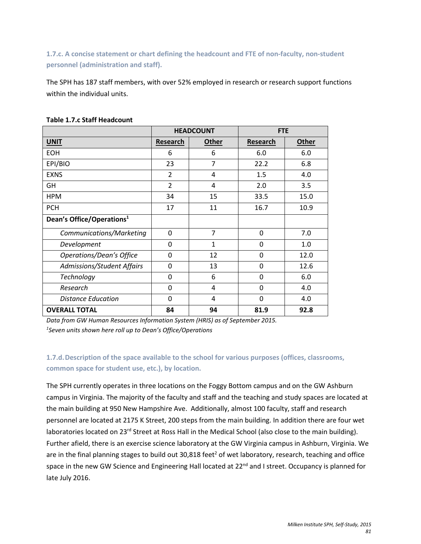**1.7.c. A concise statement or chart defining the headcount and FTE of non-faculty, non-student personnel (administration and staff).**

The SPH has 187 staff members, with over 52% employed in research or research support functions within the individual units.

|                                       |                | <b>HEADCOUNT</b> | <b>FTE</b>      |              |
|---------------------------------------|----------------|------------------|-----------------|--------------|
| <b>UNIT</b>                           | Research       | <b>Other</b>     | <b>Research</b> | <b>Other</b> |
| <b>EOH</b>                            | 6              | 6                | 6.0             | 6.0          |
| EPI/BIO                               | 23             | $\overline{7}$   | 22.2            | 6.8          |
| <b>EXNS</b>                           | $\overline{2}$ | 4                | 1.5             | 4.0          |
| GH                                    | $\overline{2}$ | 4                | 2.0             | 3.5          |
| <b>HPM</b>                            | 34             | 15               | 33.5            | 15.0         |
| <b>PCH</b>                            | 17             | 11               | 16.7            | 10.9         |
| Dean's Office/Operations <sup>1</sup> |                |                  |                 |              |
| Communications/Marketing              | 0              | $\overline{7}$   | $\Omega$        | 7.0          |
| Development                           | $\Omega$       | 1                | 0               | 1.0          |
| <b>Operations/Dean's Office</b>       | $\Omega$       | 12               | $\Omega$        | 12.0         |
| Admissions/Student Affairs            | $\Omega$       | 13               | 0               | 12.6         |
| Technology                            | 0              | 6                | 0               | 6.0          |
| Research                              | 0              | 4                | 0               | 4.0          |
| Distance Education                    | $\Omega$       | 4                | $\Omega$        | 4.0          |
| <b>OVERALL TOTAL</b>                  | 84             | 94               | 81.9            | 92.8         |

#### **Table 1.7.c Staff Headcount**

*Data from GW Human Resources Information System (HRIS) as of September 2015. 1 Seven units shown here roll up to Dean's Office/Operations*

## **1.7.d.Description of the space available to the school for various purposes (offices, classrooms, common space for student use, etc.), by location.**

The SPH currently operates in three locations on the Foggy Bottom campus and on the GW Ashburn campus in Virginia. The majority of the faculty and staff and the teaching and study spaces are located at the main building at 950 New Hampshire Ave. Additionally, almost 100 faculty, staff and research personnel are located at 2175 K Street, 200 steps from the main building. In addition there are four wet laboratories located on 23<sup>rd</sup> Street at Ross Hall in the Medical School (also close to the main building). Further afield, there is an exercise science laboratory at the GW Virginia campus in Ashburn, Virginia. We are in the final planning stages to build out  $30,818$  feet<sup>2</sup> of wet laboratory, research, teaching and office space in the new GW Science and Engineering Hall located at 22<sup>nd</sup> and I street. Occupancy is planned for late July 2016.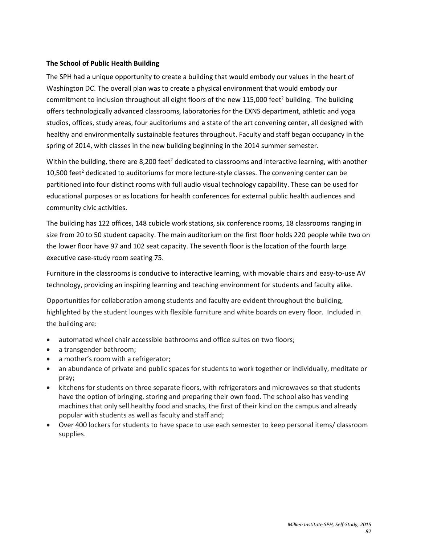#### **The School of Public Health Building**

The SPH had a unique opportunity to create a building that would embody our values in the heart of Washington DC. The overall plan was to create a physical environment that would embody our commitment to inclusion throughout all eight floors of the new 115,000 feet<sup>2</sup> building. The building offers technologically advanced classrooms, laboratories for the EXNS department, athletic and yoga studios, offices, study areas, four auditoriums and a state of the art convening center, all designed with healthy and environmentally sustainable features throughout. Faculty and staff began occupancy in the spring of 2014, with classes in the new building beginning in the 2014 summer semester.

Within the building, there are 8,200 feet<sup>2</sup> dedicated to classrooms and interactive learning, with another 10,500 feet<sup>2</sup> dedicated to auditoriums for more lecture-style classes. The convening center can be partitioned into four distinct rooms with full audio visual technology capability. These can be used for educational purposes or as locations for health conferences for external public health audiences and community civic activities.

The building has 122 offices, 148 cubicle work stations, six conference rooms, 18 classrooms ranging in size from 20 to 50 student capacity. The main auditorium on the first floor holds 220 people while two on the lower floor have 97 and 102 seat capacity. The seventh floor is the location of the fourth large executive case-study room seating 75.

Furniture in the classrooms is conducive to interactive learning, with movable chairs and easy-to-use AV technology, providing an inspiring learning and teaching environment for students and faculty alike.

Opportunities for collaboration among students and faculty are evident throughout the building, highlighted by the student lounges with flexible furniture and white boards on every floor. Included in the building are:

- automated wheel chair accessible bathrooms and office suites on two floors;
- a transgender bathroom;
- a mother's room with a refrigerator;
- an abundance of private and public spaces for students to work together or individually, meditate or pray;
- kitchens for students on three separate floors, with refrigerators and microwaves so that students have the option of bringing, storing and preparing their own food. The school also has vending machines that only sell healthy food and snacks, the first of their kind on the campus and already popular with students as well as faculty and staff and;
- Over 400 lockers for students to have space to use each semester to keep personal items/ classroom supplies.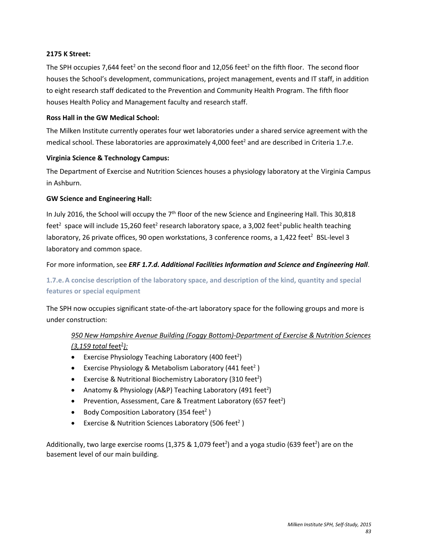#### **2175 K Street:**

The SPH occupies 7,644 feet<sup>2</sup> on the second floor and 12,056 feet<sup>2</sup> on the fifth floor. The second floor houses the School's development, communications, project management, events and IT staff, in addition to eight research staff dedicated to the Prevention and Community Health Program. The fifth floor houses Health Policy and Management faculty and research staff.

#### **Ross Hall in the GW Medical School:**

The Milken Institute currently operates four wet laboratories under a shared service agreement with the medical school. These laboratories are approximately 4,000 feet<sup>2</sup> and are described in Criteria 1.7.e.

#### **Virginia Science & Technology Campus:**

The Department of Exercise and Nutrition Sciences houses a physiology laboratory at the Virginia Campus in Ashburn.

#### **GW Science and Engineering Hall:**

In July 2016, the School will occupy the  $7<sup>th</sup>$  floor of the new Science and Engineering Hall. This 30,818 feet<sup>2</sup> space will include 15,260 feet<sup>2</sup> research laboratory space, a 3,002 feet<sup>2</sup> public health teaching laboratory, 26 private offices, 90 open workstations, 3 conference rooms, a 1,422 feet<sup>2</sup> BSL-level 3 laboratory and common space.

#### For more information, see *ERF 1.7.d. Additional Facilities Information and Science and Engineering Hall*.

## **1.7.e.A concise description of the laboratory space, and description of the kind, quantity and special features or special equipment**

The SPH now occupies significant state-of-the-art laboratory space for the following groups and more is under construction:

## *950 New Hampshire Avenue Building (Foggy Bottom)-Department of Exercise & Nutrition Sciences (3,159 total* feet 2 *):*

- Exercise Physiology Teaching Laboratory (400 feet<sup>2</sup>)
- Exercise Physiology & Metabolism Laboratory (441 feet<sup>2</sup>)
- Exercise & Nutritional Biochemistry Laboratory (310 feet<sup>2</sup>)
- Anatomy & Physiology (A&P) Teaching Laboratory (491 feet<sup>2</sup>)
- Prevention, Assessment, Care & Treatment Laboratory (657 feet<sup>2</sup>)
- Body Composition Laboratory (354 feet<sup>2</sup>)
- Exercise & Nutrition Sciences Laboratory (506 feet<sup>2</sup>)

Additionally, two large exercise rooms (1,375 & 1,079 feet<sup>2</sup>) and a yoga studio (639 feet<sup>2</sup>) are on the basement level of our main building.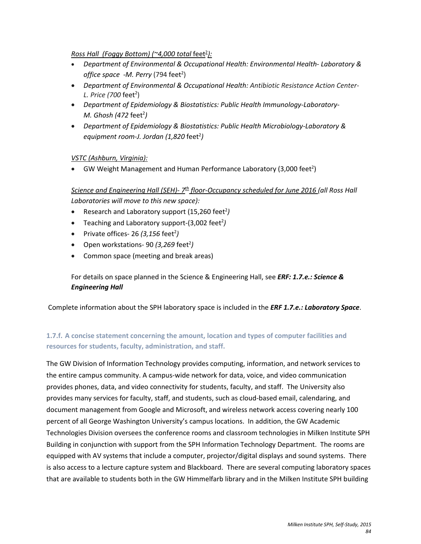### *Ross Hall (Foggy Bottom) (~4,000 total* feet 2 *):*

- *Department of Environmental & Occupational Health: Environmental Health- Laboratory &*  office space -M. Perry (794 feet<sup>2</sup>)
- *Department of Environmental & Occupational Health: Antibiotic Resistance Action Center-L. Price (700* feet 2 )
- *Department of Epidemiology & Biostatistics: Public Health Immunology-Laboratory-M. Ghosh (472* feet2 *)*
- *Department of Epidemiology & Biostatistics: Public Health Microbiology-Laboratory & equipment room-J. Jordan (1,820* feet2 *)*

#### *VSTC (Ashburn, Virginia):*

• GW Weight Management and Human Performance Laboratory (3,000 feet<sup>2</sup>)

*Science and Engineering Hall (SEH)- 7th floor-Occupancy scheduled for June 2016 (all Ross Hall Laboratories will move to this new space):*

- Research and Laboratory support (15,260 feet<sup>2</sup>)
- Teaching and Laboratory support-(3,002 feet<sup>2</sup>)
- Private offices- 26 (3,156 feet<sup>2</sup>)
- Open workstations- 90 (3,269 feet<sup>2</sup>)
- Common space (meeting and break areas)

For details on space planned in the Science & Engineering Hall, see *ERF: 1.7.e.: Science & Engineering Hall* 

Complete information about the SPH laboratory space is included in the *ERF 1.7.e.: Laboratory Space*.

## **1.7.f. A concise statement concerning the amount, location and types of computer facilities and resources for students, faculty, administration, and staff.**

The GW Division of Information Technology provides computing, information, and network services to the entire campus community. A campus-wide network for data, voice, and video communication provides phones, data, and video connectivity for students, faculty, and staff. The University also provides many services for faculty, staff, and students, such as cloud-based email, calendaring, and document management from Google and Microsoft, and wireless network access covering nearly 100 percent of all George Washington University's campus locations. In addition, the GW Academic Technologies Division oversees the conference rooms and classroom technologies in Milken Institute SPH Building in conjunction with support from the SPH Information Technology Department. The rooms are equipped with AV systems that include a computer, projector/digital displays and sound systems. There is also access to a lecture capture system and Blackboard. There are several computing laboratory spaces that are available to students both in the GW Himmelfarb library and in the Milken Institute SPH building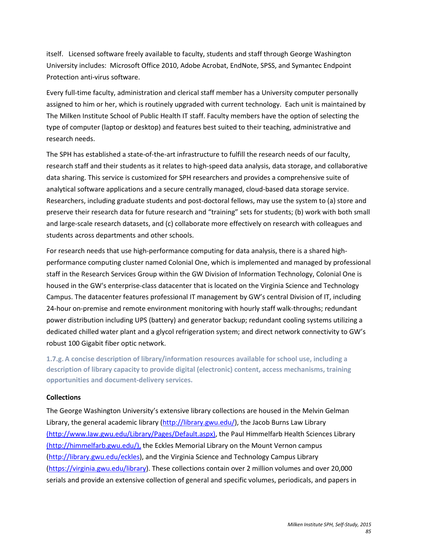itself. Licensed software freely available to faculty, students and staff through George Washington University includes: Microsoft Office 2010, Adobe Acrobat, EndNote, SPSS, and Symantec Endpoint Protection anti-virus software.

Every full-time faculty, administration and clerical staff member has a University computer personally assigned to him or her, which is routinely upgraded with current technology. Each unit is maintained by The Milken Institute School of Public Health IT staff. Faculty members have the option of selecting the type of computer (laptop or desktop) and features best suited to their teaching, administrative and research needs.

The SPH has established a state-of-the-art infrastructure to fulfill the research needs of our faculty, research staff and their students as it relates to high-speed data analysis, data storage, and collaborative data sharing. This service is customized for SPH researchers and provides a comprehensive suite of analytical software applications and a secure centrally managed, cloud-based data storage service. Researchers, including graduate students and post-doctoral fellows, may use the system to (a) store and preserve their research data for future research and "training" sets for students; (b) work with both small and large-scale research datasets, and (c) collaborate more effectively on research with colleagues and students across departments and other schools.

For research needs that use high-performance computing for data analysis, there is a shared highperformance computing cluster named Colonial One, which is implemented and managed by professional staff in the Research Services Group within the GW Division of Information Technology, Colonial One is housed in the GW's enterprise-class datacenter that is located on the Virginia Science and Technology Campus. The datacenter features professional IT management by GW's central Division of IT, including 24-hour on-premise and remote environment monitoring with hourly staff walk-throughs; redundant power distribution including UPS (battery) and generator backup; redundant cooling systems utilizing a dedicated chilled water plant and a glycol refrigeration system; and direct network connectivity to GW's robust 100 Gigabit fiber optic network.

**1.7.g. A concise description of library/information resources available for school use, including a description of library capacity to provide digital (electronic) content, access mechanisms, training opportunities and document-delivery services.** 

#### **Collections**

The George Washington University's extensive library collections are housed in the Melvin Gelman Library, the general academic library [\(http://library.gwu.edu/\)](http://library.gwu.edu/), the Jacob Burns Law Library [\(http://www.law.gwu.edu/Library/Pages/Default.aspx\),](http://www.law.gwu.edu/Library/Pages/Default.aspx) the Paul Himmelfarb Health Sciences Library [\(http://himmelfarb.gwu.edu/\),](http://himmelfarb.gwu.edu/) the Eckles Memorial Library on the Mount Vernon campus [\(http://library.gwu.edu/eckles\)](http://library.gwu.edu/eckles), and the Virginia Science and Technology Campus Library [\(https://virginia.gwu.edu/library\)](https://virginia.gwu.edu/library). These collections contain over 2 million volumes and over 20,000 serials and provide an extensive collection of general and specific volumes, periodicals, and papers in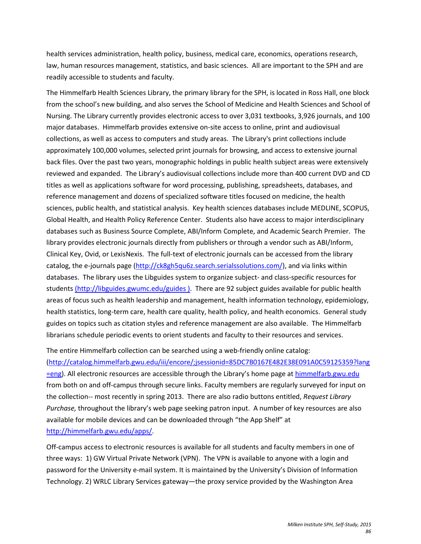health services administration, health policy, business, medical care, economics, operations research, law, human resources management, statistics, and basic sciences. All are important to the SPH and are readily accessible to students and faculty.

The Himmelfarb Health Sciences Library, the primary library for the SPH, is located in Ross Hall, one block from the school's new building, and also serves the School of Medicine and Health Sciences and School of Nursing. The Library currently provides electronic access to over 3,031 textbooks, 3,926 journals, and 100 major databases. Himmelfarb provides extensive on-site access to online, print and audiovisual collections, as well as access to computers and study areas. The Library's print collections include approximately 100,000 volumes, selected print journals for browsing, and access to extensive journal back files. Over the past two years, monographic holdings in public health subject areas were extensively reviewed and expanded. The Library's audiovisual collections include more than 400 current DVD and CD titles as well as applications software for word processing, publishing, spreadsheets, databases, and reference management and dozens of specialized software titles focused on medicine, the health sciences, public health, and statistical analysis. Key health sciences databases include MEDLINE, SCOPUS, Global Health, and Health Policy Reference Center. Students also have access to major interdisciplinary databases such as Business Source Complete, ABI/Inform Complete, and Academic Search Premier. The library provides electronic journals directly from publishers or through a vendor such as ABI/Inform, Clinical Key, Ovid, or LexisNexis. The full-text of electronic journals can be accessed from the library catalog, the e-journals page [\(http://ck8gh5qu6z.search.serialssolutions.com/\)](http://ck8gh5qu6z.search.serialssolutions.com/), and via links within databases. The library uses the Libguides system to organize subject- and class-specific resources for students [\(http://libguides.gwumc.edu/guides \).](http://libguides.gwumc.edu/guides) There are 92 subject guides available for public health areas of focus such as health leadership and management, health information technology, epidemiology, health statistics, long-term care, health care quality, health policy, and health economics. General study guides on topics such as citation styles and reference management are also available. The Himmelfarb librarians schedule periodic events to orient students and faculty to their resources and services.

The entire Himmelfarb collection can be searched using a web-friendly online catalog: [\(http://catalog.himmelfarb.gwu.edu/iii/encore/;jsessionid=85DC7B0167E482E38E091A0C59125359?lang](http://catalog.himmelfarb.gwu.edu/iii/encore/;jsessionid=85DC7B0167E482E38E091A0C59125359?lang=eng) [=eng\)](http://catalog.himmelfarb.gwu.edu/iii/encore/;jsessionid=85DC7B0167E482E38E091A0C59125359?lang=eng). All electronic resources are accessible through the Library's home page a[t himmelfarb.gwu.edu](http://himmelfarb.gwu.edu/) from both on and off-campus through secure links. Faculty members are regularly surveyed for input on the collection-- most recently in spring 2013. There are also radio buttons entitled, *Request Library Purchase,* throughout the library's web page seeking patron input. A number of key resources are also available for mobile devices and can be downloaded through "the App Shelf" at [http://himmelfarb.gwu.edu/apps/.](http://himmelfarb.gwu.edu/apps/)

Off-campus access to electronic resources is available for all students and faculty members in one of three ways: 1) GW Virtual Private Network (VPN). The VPN is available to anyone with a login and password for the University e-mail system. It is maintained by the University's Division of Information Technology. 2) WRLC Library Services gateway—the proxy service provided by the Washington Area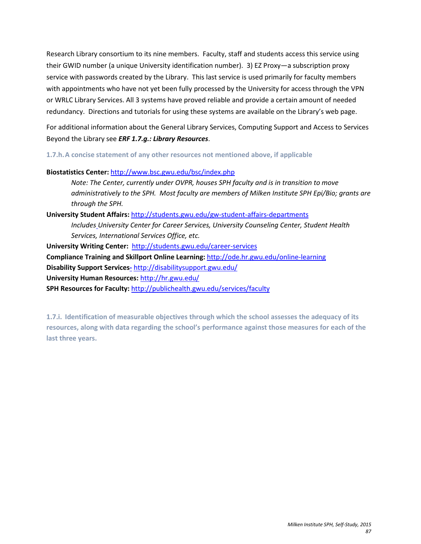Research Library consortium to its nine members. Faculty, staff and students access this service using their GWID number (a unique University identification number). 3) EZ Proxy—a subscription proxy service with passwords created by the Library. This last service is used primarily for faculty members with appointments who have not yet been fully processed by the University for access through the VPN or WRLC Library Services. All 3 systems have proved reliable and provide a certain amount of needed redundancy. Directions and tutorials for using these systems are available on the Library's web page.

For additional information about the General Library Services, Computing Support and Access to Services Beyond the Library see *ERF 1.7.g.: Library Resources*.

**1.7.h.A concise statement of any other resources not mentioned above, if applicable**

**Biostatistics Center:** <http://www.bsc.gwu.edu/bsc/index.php>

*Note: The Center, currently under OVPR, houses SPH faculty and is in transition to move administratively to the SPH. Most faculty are members of Milken Institute SPH Epi/Bio; grants are through the SPH.* 

**University Student Affairs:** <http://students.gwu.edu/gw-student-affairs-departments>

*Includes University Center for Career Services, University Counseling Center, Student Health Services, International Services Office, etc.* 

**University Writing Center:** <http://students.gwu.edu/career-services>

**Compliance Training and Skillport Online Learning:** <http://ode.hr.gwu.edu/online-learning>

**Disability Support Services-** <http://disabilitysupport.gwu.edu/>

**University Human Resources:** <http://hr.gwu.edu/>

**SPH Resources for Faculty:** <http://publichealth.gwu.edu/services/faculty>

**1.7.i. Identification of measurable objectives through which the school assesses the adequacy of its resources, along with data regarding the school's performance against those measures for each of the last three years.**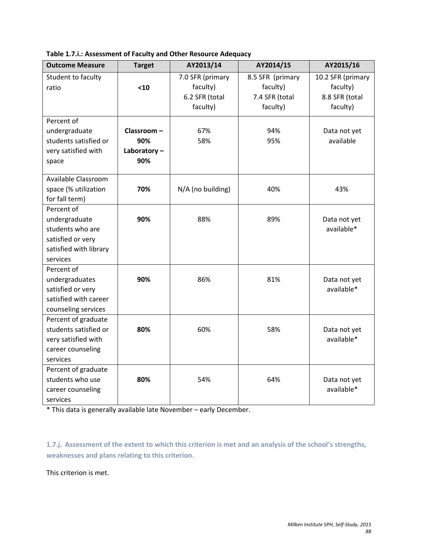| <b>Outcome Measure</b> | <b>Target</b> | AY2013/14         | AY2014/15        | AY2015/16         |
|------------------------|---------------|-------------------|------------------|-------------------|
| Student to faculty     |               | 7.0 SFR (primary  | 8.5 SFR (primary | 10.2 SFR (primary |
| ratio                  | $10$          | faculty)          | faculty)         | faculty)          |
|                        |               | 6.2 SFR (total    | 7.4 SFR (total   | 8.8 SFR (total    |
|                        |               | faculty)          | faculty)         | faculty)          |
| Percent of             |               |                   |                  |                   |
| undergraduate          | Classroom-    | 67%               | 94%              | Data not yet      |
| students satisfied or  | 90%           | 58%               | 95%              | available         |
| very satisfied with    | Laboratory-   |                   |                  |                   |
| space                  | 90%           |                   |                  |                   |
|                        |               |                   |                  |                   |
| Available Classroom    |               |                   |                  |                   |
| space (% utilization   | 70%           | N/A (no building) | 40%              | 43%               |
| for fall term)         |               |                   |                  |                   |
| Percent of             |               |                   |                  |                   |
| undergraduate          | 90%           | 88%               | 89%              | Data not yet      |
| students who are       |               |                   |                  | available*        |
| satisfied or very      |               |                   |                  |                   |
| satisfied with library |               |                   |                  |                   |
| services               |               |                   |                  |                   |
| Percent of             |               |                   |                  |                   |
| undergraduates         | 90%           | 86%               | 81%              | Data not yet      |
| satisfied or very      |               |                   |                  | available*        |
| satisfied with career  |               |                   |                  |                   |
| counseling services    |               |                   |                  |                   |
| Percent of graduate    |               |                   |                  |                   |
| students satisfied or  | 80%           | 60%               | 58%              | Data not yet      |
| very satisfied with    |               |                   |                  | available*        |
| career counseling      |               |                   |                  |                   |
| services               |               |                   |                  |                   |
| Percent of graduate    |               |                   |                  |                   |
| students who use       | 80%           | 54%               | 64%              | Data not yet      |
| career counseling      |               |                   |                  | available*        |
| services               |               |                   |                  |                   |

**Table 1.7.i.: Assessment of Faculty and Other Resource Adequacy**

\* This data is generally available late November – early December.

**1.7.j. Assessment of the extent to which this criterion is met and an analysis of the school's strengths, weaknesses and plans relating to this criterion.**

This criterion is met.